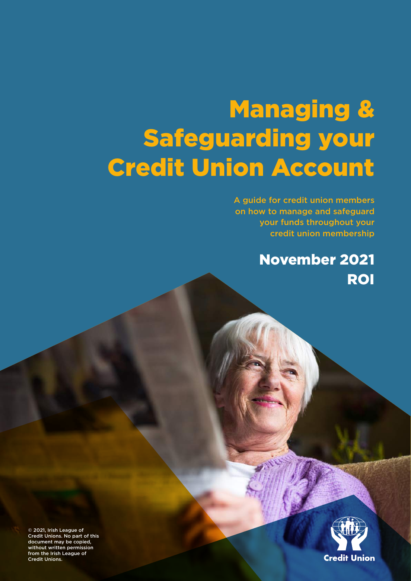# Managing & Safeguarding your Credit Union Account

A guide for credit union members on how to manage and safeguard your funds throughout your credit union membership

> ROI November 2021



© 2021, Irish League of Credit Unions. No part of this document may be copied, without written permission from the Irish League of Credit Unions.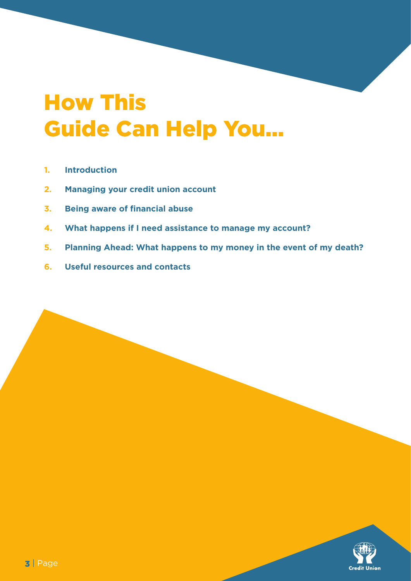## How This Guide Can Help You...

- **1. Introduction**
- **2. Managing your credit union account**
- **3. Being aware of financial abuse**
- **4. What happens if I need assistance to manage my account?**
- **5. Planning Ahead: What happens to my money in the event of my death?**
- **6. Useful resources and contacts**

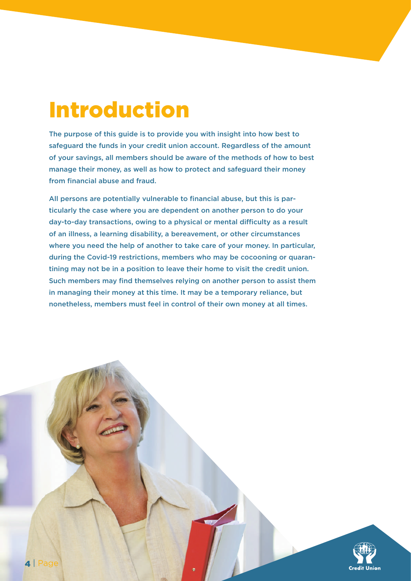## Introduction

The purpose of this guide is to provide you with insight into how best to safeguard the funds in your credit union account. Regardless of the amount of your savings, all members should be aware of the methods of how to best manage their money, as well as how to protect and safeguard their money from financial abuse and fraud.

All persons are potentially vulnerable to financial abuse, but this is particularly the case where you are dependent on another person to do your day-to-day transactions, owing to a physical or mental difficulty as a result of an illness, a learning disability, a bereavement, or other circumstances where you need the help of another to take care of your money. In particular, during the Covid-19 restrictions, members who may be cocooning or quarantining may not be in a position to leave their home to visit the credit union. Such members may find themselves relying on another person to assist them in managing their money at this time. It may be a temporary reliance, but nonetheless, members must feel in control of their own money at all times.

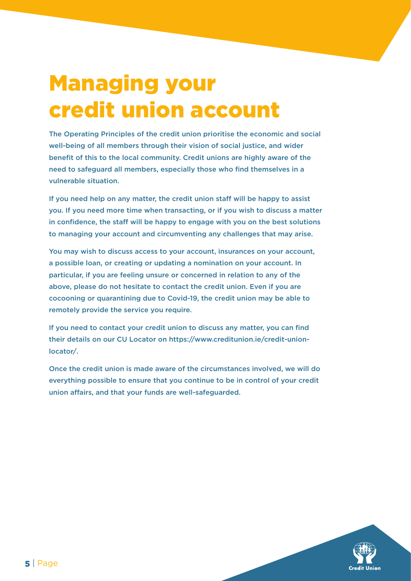## Managing your credit union account

The Operating Principles of the credit union prioritise the economic and social well-being of all members through their vision of social justice, and wider benefit of this to the local community. Credit unions are highly aware of the need to safeguard all members, especially those who find themselves in a vulnerable situation.

If you need help on any matter, the credit union staff will be happy to assist you. If you need more time when transacting, or if you wish to discuss a matter in confidence, the staff will be happy to engage with you on the best solutions to managing your account and circumventing any challenges that may arise.

You may wish to discuss access to your account, insurances on your account, a possible loan, or creating or updating a nomination on your account. In particular, if you are feeling unsure or concerned in relation to any of the above, please do not hesitate to contact the credit union. Even if you are cocooning or quarantining due to Covid-19, the credit union may be able to remotely provide the service you require.

If you need to contact your credit union to discuss any matter, you can find their details on our CU Locator on https://www.creditunion.ie/credit-unionlocator/.

Once the credit union is made aware of the circumstances involved, we will do everything possible to ensure that you continue to be in control of your credit union affairs, and that your funds are well-safeguarded.

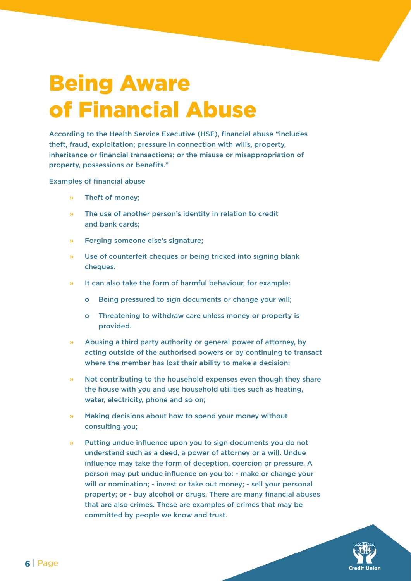## Being Aware of Financial Abuse

According to the Health Service Executive (HSE), financial abuse "includes theft, fraud, exploitation; pressure in connection with wills, property, inheritance or financial transactions; or the misuse or misappropriation of property, possessions or benefits."

Examples of financial abuse

- » Theft of money;
- » The use of another person's identity in relation to credit and bank cards;
- » Forging someone else's signature;
- » Use of counterfeit cheques or being tricked into signing blank cheques.
- » It can also take the form of harmful behaviour, for example:
	- o Being pressured to sign documents or change your will;
	- o Threatening to withdraw care unless money or property is provided.
- » Abusing a third party authority or general power of attorney, by acting outside of the authorised powers or by continuing to transact where the member has lost their ability to make a decision;
- » Not contributing to the household expenses even though they share the house with you and use household utilities such as heating, water, electricity, phone and so on;
- Making decisions about how to spend your money without consulting you;
- » Putting undue influence upon you to sign documents you do not understand such as a deed, a power of attorney or a will. Undue influence may take the form of deception, coercion or pressure. A person may put undue influence on you to: - make or change your will or nomination; - invest or take out money; - sell your personal property; or - buy alcohol or drugs. There are many financial abuses that are also crimes. These are examples of crimes that may be committed by people we know and trust.

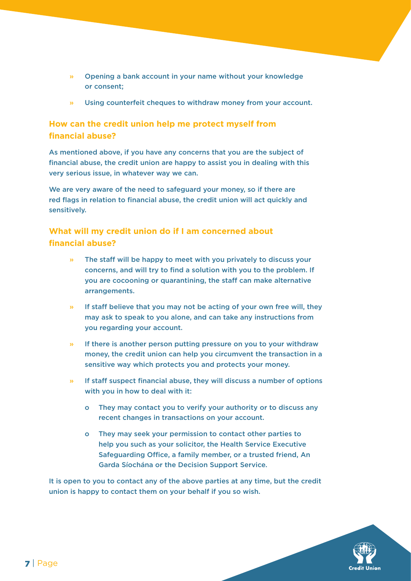- » Opening a bank account in your name without your knowledge or consent;
- » Using counterfeit cheques to withdraw money from your account.

## **How can the credit union help me protect myself from financial abuse?**

As mentioned above, if you have any concerns that you are the subject of financial abuse, the credit union are happy to assist you in dealing with this very serious issue, in whatever way we can.

We are very aware of the need to safeguard your money, so if there are red flags in relation to financial abuse, the credit union will act quickly and sensitively.

## **What will my credit union do if I am concerned about financial abuse?**

- The staff will be happy to meet with you privately to discuss your concerns, and will try to find a solution with you to the problem. If you are cocooning or quarantining, the staff can make alternative arrangements.
- » If staff believe that you may not be acting of your own free will, they may ask to speak to you alone, and can take any instructions from you regarding your account.
- » If there is another person putting pressure on you to your withdraw money, the credit union can help you circumvent the transaction in a sensitive way which protects you and protects your money.
- » If staff suspect financial abuse, they will discuss a number of options with you in how to deal with it:
	- o They may contact you to verify your authority or to discuss any recent changes in transactions on your account.
	- o They may seek your permission to contact other parties to help you such as your solicitor, the Health Service Executive Safeguarding Office, a family member, or a trusted friend, An Garda Síochána or the Decision Support Service.

It is open to you to contact any of the above parties at any time, but the credit union is happy to contact them on your behalf if you so wish.

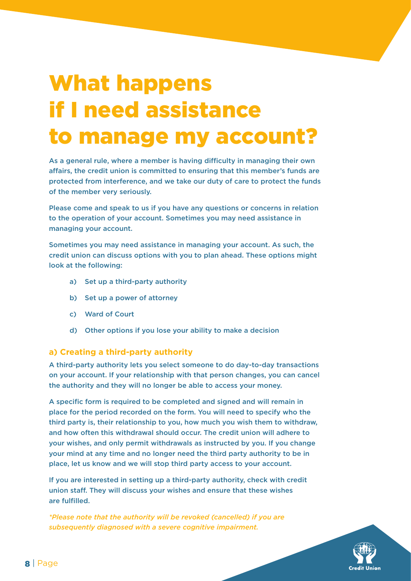## What happens if I need assistance to manage my account?

As a general rule, where a member is having difficulty in managing their own affairs, the credit union is committed to ensuring that this member's funds are protected from interference, and we take our duty of care to protect the funds of the member very seriously.

Please come and speak to us if you have any questions or concerns in relation to the operation of your account. Sometimes you may need assistance in managing your account.

Sometimes you may need assistance in managing your account. As such, the credit union can discuss options with you to plan ahead. These options might look at the following:

- a) Set up a third-party authority
- b) Set up a power of attorney
- c) Ward of Court
- d) Other options if you lose your ability to make a decision

#### **a) Creating a third-party authority**

A third-party authority lets you select someone to do day-to-day transactions on your account. If your relationship with that person changes, you can cancel the authority and they will no longer be able to access your money.

A specific form is required to be completed and signed and will remain in place for the period recorded on the form. You will need to specify who the third party is, their relationship to you, how much you wish them to withdraw, and how often this withdrawal should occur. The credit union will adhere to your wishes, and only permit withdrawals as instructed by you. If you change your mind at any time and no longer need the third party authority to be in place, let us know and we will stop third party access to your account.

If you are interested in setting up a third-party authority, check with credit union staff. They will discuss your wishes and ensure that these wishes are fulfilled.

*\*Please note that the authority will be revoked (cancelled) if you are subsequently diagnosed with a severe cognitive impairment.*

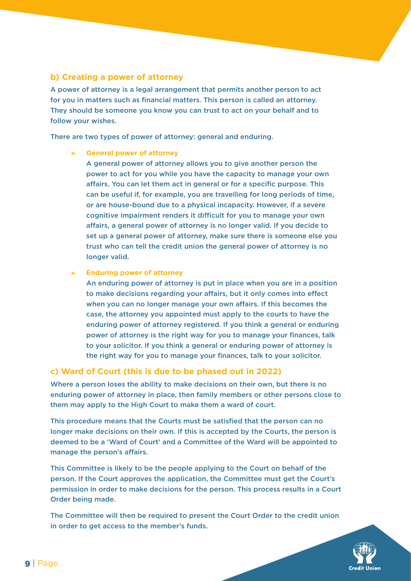## **b) Creating a power of attorney**

A power of attorney is a legal arrangement that permits another person to act for you in matters such as financial matters. This person is called an attorney. They should be someone you know you can trust to act on your behalf and to follow your wishes.

There are two types of power of attorney: general and enduring.

#### **» General power of attorney**

 A general power of attorney allows you to give another person the power to act for you while you have the capacity to manage your own affairs. You can let them act in general or for a specific purpose. This can be useful if, for example, you are travelling for long periods of time, or are house-bound due to a physical incapacity. However, if a severe cognitive impairment renders it difficult for you to manage your own affairs, a general power of attorney is no longer valid. If you decide to set up a general power of attorney, make sure there is someone else you trust who can tell the credit union the general power of attorney is no longer valid.

#### **» Enduring power of attorney**

 An enduring power of attorney is put in place when you are in a position to make decisions regarding your affairs, but it only comes into effect when you can no longer manage your own affairs. If this becomes the case, the attorney you appointed must apply to the courts to have the enduring power of attorney registered. If you think a general or enduring power of attorney is the right way for you to manage your finances, talk to your solicitor. If you think a general or enduring power of attorney is the right way for you to manage your finances, talk to your solicitor.

### **c) Ward of Court (this is due to be phased out in 2022)**

Where a person loses the ability to make decisions on their own, but there is no enduring power of attorney in place, then family members or other persons close to them may apply to the High Court to make them a ward of court.

This procedure means that the Courts must be satisfied that the person can no longer make decisions on their own. If this is accepted by the Courts, the person is deemed to be a 'Ward of Court' and a Committee of the Ward will be appointed to manage the person's affairs.

This Committee is likely to be the people applying to the Court on behalf of the person. If the Court approves the application, the Committee must get the Court's permission in order to make decisions for the person. This process results in a Court Order being made.

The Committee will then be required to present the Court Order to the credit union in order to get access to the member's funds.

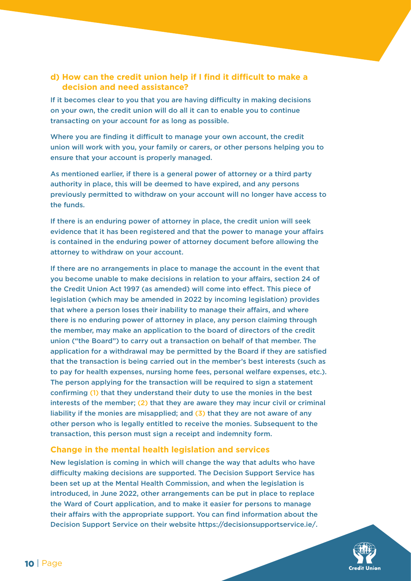## **d) How can the credit union help if I find it difficult to make a decision and need assistance?**

If it becomes clear to you that you are having difficulty in making decisions on your own, the credit union will do all it can to enable you to continue transacting on your account for as long as possible.

Where you are finding it difficult to manage your own account, the credit union will work with you, your family or carers, or other persons helping you to ensure that your account is properly managed.

As mentioned earlier, if there is a general power of attorney or a third party authority in place, this will be deemed to have expired, and any persons previously permitted to withdraw on your account will no longer have access to the funds.

If there is an enduring power of attorney in place, the credit union will seek evidence that it has been registered and that the power to manage your affairs is contained in the enduring power of attorney document before allowing the attorney to withdraw on your account.

If there are no arrangements in place to manage the account in the event that you become unable to make decisions in relation to your affairs, section 24 of the Credit Union Act 1997 (as amended) will come into effect. This piece of legislation (which may be amended in 2022 by incoming legislation) provides that where a person loses their inability to manage their affairs, and where there is no enduring power of attorney in place, any person claiming through the member, may make an application to the board of directors of the credit union ("the Board") to carry out a transaction on behalf of that member. The application for a withdrawal may be permitted by the Board if they are satisfied that the transaction is being carried out in the member's best interests (such as to pay for health expenses, nursing home fees, personal welfare expenses, etc.). The person applying for the transaction will be required to sign a statement confirming (1) that they understand their duty to use the monies in the best interests of the member; (2) that they are aware they may incur civil or criminal liability if the monies are misapplied; and  $(3)$  that they are not aware of any other person who is legally entitled to receive the monies. Subsequent to the transaction, this person must sign a receipt and indemnity form.

### **Change in the mental health legislation and services**

New legislation is coming in which will change the way that adults who have difficulty making decisions are supported. The Decision Support Service has been set up at the Mental Health Commission, and when the legislation is introduced, in June 2022, other arrangements can be put in place to replace the Ward of Court application, and to make it easier for persons to manage their affairs with the appropriate support. You can find information about the Decision Support Service on their website https://decisionsupportservice.ie/.

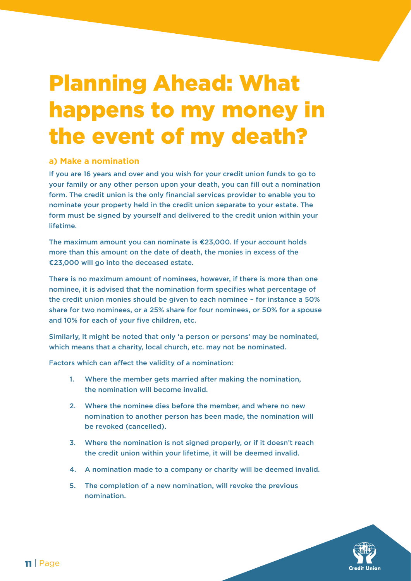## Planning Ahead: What happens to my money in the event of my death?

### **a) Make a nomination**

If you are 16 years and over and you wish for your credit union funds to go to your family or any other person upon your death, you can fill out a nomination form. The credit union is the only financial services provider to enable you to nominate your property held in the credit union separate to your estate. The form must be signed by yourself and delivered to the credit union within your lifetime.

The maximum amount you can nominate is €23,000. If your account holds more than this amount on the date of death, the monies in excess of the €23,000 will go into the deceased estate.

There is no maximum amount of nominees, however, if there is more than one nominee, it is advised that the nomination form specifies what percentage of the credit union monies should be given to each nominee – for instance a 50% share for two nominees, or a 25% share for four nominees, or 50% for a spouse and 10% for each of your five children, etc.

Similarly, it might be noted that only 'a person or persons' may be nominated, which means that a charity, local church, etc. may not be nominated.

Factors which can affect the validity of a nomination:

- 1. Where the member gets married after making the nomination, the nomination will become invalid.
- 2. Where the nominee dies before the member, and where no new nomination to another person has been made, the nomination will be revoked (cancelled).
- 3. Where the nomination is not signed properly, or if it doesn't reach the credit union within your lifetime, it will be deemed invalid.
- 4. A nomination made to a company or charity will be deemed invalid.
- 5. The completion of a new nomination, will revoke the previous nomination.

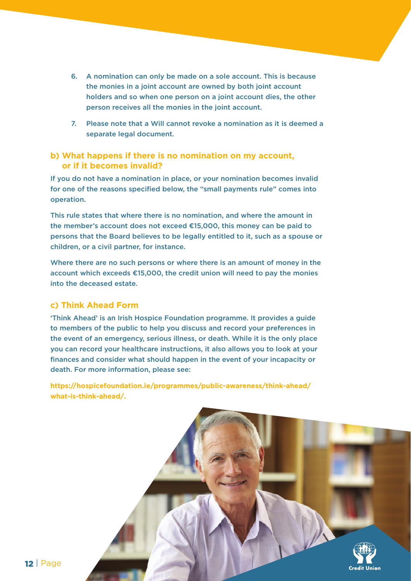- 6. A nomination can only be made on a sole account. This is because the monies in a joint account are owned by both joint account holders and so when one person on a joint account dies, the other person receives all the monies in the joint account.
- 7. Please note that a Will cannot revoke a nomination as it is deemed a separate legal document.

## **b) What happens if there is no nomination on my account, or if it becomes invalid?**

If you do not have a nomination in place, or your nomination becomes invalid for one of the reasons specified below, the "small payments rule" comes into operation.

This rule states that where there is no nomination, and where the amount in the member's account does not exceed €15,000, this money can be paid to persons that the Board believes to be legally entitled to it, such as a spouse or children, or a civil partner, for instance.

Where there are no such persons or where there is an amount of money in the account which exceeds €15,000, the credit union will need to pay the monies into the deceased estate.

### **c) Think Ahead Form**

'Think Ahead' is an Irish Hospice Foundation programme. It provides a guide to members of the public to help you discuss and record your preferences in the event of an emergency, serious illness, or death. While it is the only place you can record your healthcare instructions, it also allows you to look at your finances and consider what should happen in the event of your incapacity or death. For more information, please see:

**https://hospicefoundation.ie/programmes/public-awareness/think-ahead/ what-is-think-ahead/.** 

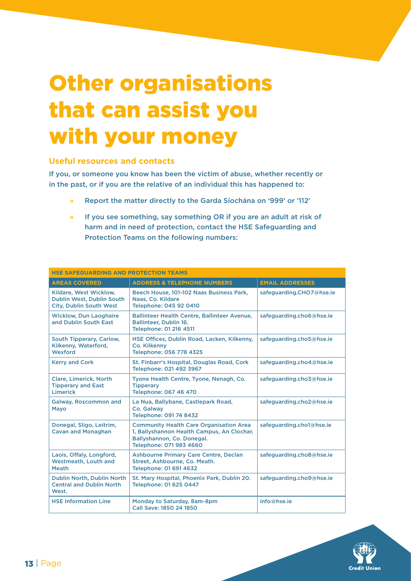## Other organisations that can assist you with your money

### **Useful resources and contacts**

If you, or someone you know has been the victim of abuse, whether recently or in the past, or if you are the relative of an individual this has happened to:

- » Report the matter directly to the Garda Síochána on '999' or '112'
- » If you see something, say something OR if you are an adult at risk of harm and in need of protection, contact the HSE Safeguarding and Protection Teams on the following numbers:

| <b>HSE SAFEGUARDING AND PROTECTION TEAMS</b>                                          |                                                                                                                                                       |                          |  |
|---------------------------------------------------------------------------------------|-------------------------------------------------------------------------------------------------------------------------------------------------------|--------------------------|--|
| <b>AREAS COVERED</b>                                                                  | <b>ADDRESS &amp; TELEPHONE NUMBERS</b>                                                                                                                | <b>EMAIL ADDRESSES</b>   |  |
| Kildare, West Wicklow,<br>Dublin West, Dublin South<br><b>City, Dublin South West</b> | Beech House, 101-102 Naas Business Park,<br>Naas, Co. Kildare<br><b>Telephone: 045 92 0410</b>                                                        | safeguarding.CHO7@hse.ie |  |
| <b>Wicklow, Dun Laoghaire</b><br>and Dublin South East                                | Ballinteer Health Centre, Ballinteer Avenue,<br><b>Ballinteer, Dublin 16.</b><br>Telephone: 01 216 4511                                               | safeguarding.cho6@hse.ie |  |
| South Tipperary, Carlow,<br>Kilkenny, Waterford,<br>Wexford                           | HSE Offices, Dublin Road, Lacken, Kilkenny,<br><b>Co. Kilkenny</b><br>Telephone: 056 778 4325                                                         | safeguarding.cho5@hse.ie |  |
| <b>Kerry and Cork</b>                                                                 | St. Finbarr's Hospital, Douglas Road, Cork<br>Telephone: 021 492 3967                                                                                 | safeguarding.cho4@hse.ie |  |
| <b>Clare, Limerick, North</b><br><b>Tipperary and East</b><br><b>Limerick</b>         | Tyone Health Centre, Tyone, Nenagh, Co.<br><b>Tipperary</b><br><b>Telephone: 067 46 470</b>                                                           | safeguarding.cho3@hse.ie |  |
| <b>Galway, Roscommon and</b><br>Mayo                                                  | La Nua, Ballybane, Castlepark Road,<br>Co. Galway<br>Telephone: 091 74 8432                                                                           | safeguarding.cho2@hse.ie |  |
| Donegal, Sligo, Leitrim,<br><b>Cavan and Monaghan</b>                                 | <b>Community Health Care Organisation Area</b><br>1, Ballyshannon Health Campus, An Clochar,<br>Ballyshannon, Co. Donegal.<br>Telephone: 071 983 4660 | safeguarding.cho1@hse.ie |  |
| Laois, Offaly, Longford,<br><b>Westmeath, Louth and</b><br><b>Meath</b>               | <b>Ashbourne Primary Care Centre, Declan</b><br>Street, Ashbourne, Co. Meath.<br>Telephone: 01 691 4632                                               | safeguarding.cho8@hse.ie |  |
| Dublin North, Dublin North<br><b>Central and Dublin North</b><br>West.                | St. Mary Hospital, Phoenix Park, Dublin 20.<br>Telephone: 01 625 0447                                                                                 | safeguarding.cho9@hse.ie |  |
| <b>HSE Information Line</b>                                                           | Monday to Saturday, 8am-8pm<br>Call Save: 1850 24 1850                                                                                                | info@hse.ie              |  |

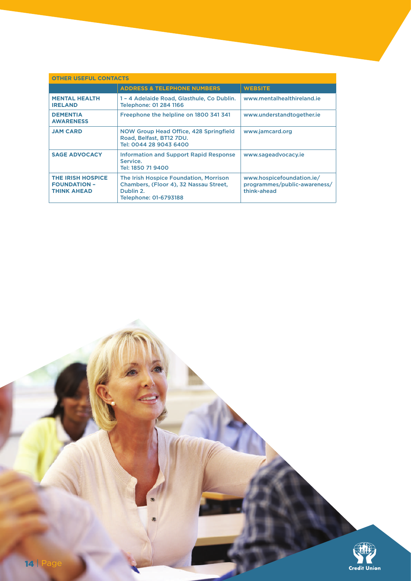| <b>OTHER USEFUL CONTACTS</b>                                          |                                                                                                                        |                                                                          |
|-----------------------------------------------------------------------|------------------------------------------------------------------------------------------------------------------------|--------------------------------------------------------------------------|
|                                                                       | <b>ADDRESS &amp; TELEPHONE NUMBERS</b>                                                                                 | <b>WEBSITE</b>                                                           |
| <b>MENTAL HEALTH</b><br><b>IRELAND</b>                                | 1 - 4 Adelaide Road, Glasthule, Co Dublin.<br>Telephone: 01 284 1166                                                   | www.mentalhealthireland.ie                                               |
| <b>DEMENTIA</b><br><b>AWARENESS</b>                                   | Freephone the helpline on 1800 341 341                                                                                 | www.understandtogether.ie                                                |
| <b>JAM CARD</b>                                                       | NOW Group Head Office, 428 Springfield<br>Road, Belfast, BT12 7DU.<br>Tel: 0044 28 9043 6400                           | www.jamcard.org                                                          |
| <b>SAGE ADVOCACY</b>                                                  | <b>Information and Support Rapid Response</b><br>Service.<br>Tel: 1850 71 9400                                         | www.sageadvocacy.ie                                                      |
| <b>THE IRISH HOSPICE</b><br><b>FOUNDATION -</b><br><b>THINK AHEAD</b> | The Irish Hospice Foundation, Morrison<br>Chambers, (Floor 4), 32 Nassau Street,<br>Dublin 2.<br>Telephone: 01-6793188 | www.hospicefoundation.ie/<br>programmes/public-awareness/<br>think-ahead |